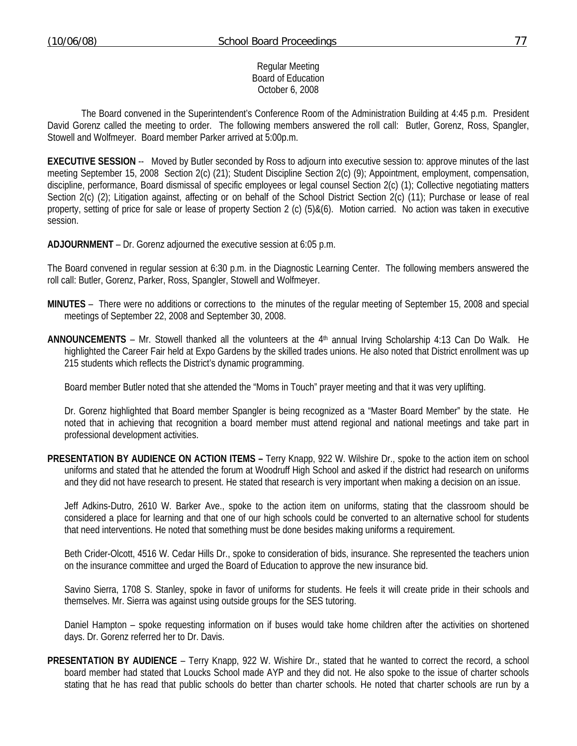## Regular Meeting Board of Education October 6, 2008

 The Board convened in the Superintendent's Conference Room of the Administration Building at 4:45 p.m. President David Gorenz called the meeting to order. The following members answered the roll call: Butler, Gorenz, Ross, Spangler, Stowell and Wolfmeyer. Board member Parker arrived at 5:00p.m.

**EXECUTIVE SESSION** -- Moved by Butler seconded by Ross to adjourn into executive session to: approve minutes of the last meeting September 15, 2008 Section 2(c) (21); Student Discipline Section 2(c) (9); Appointment, employment, compensation, discipline, performance, Board dismissal of specific employees or legal counsel Section 2(c) (1); Collective negotiating matters Section 2(c) (2); Litigation against, affecting or on behalf of the School District Section 2(c) (11); Purchase or lease of real property, setting of price for sale or lease of property Section 2 (c) (5)&(6). Motion carried. No action was taken in executive session.

**ADJOURNMENT** – Dr. Gorenz adjourned the executive session at 6:05 p.m.

The Board convened in regular session at 6:30 p.m. in the Diagnostic Learning Center. The following members answered the roll call: Butler, Gorenz, Parker, Ross, Spangler, Stowell and Wolfmeyer.

- **MINUTES** There were no additions or corrections to the minutes of the regular meeting of September 15, 2008 and special meetings of September 22, 2008 and September 30, 2008.
- ANNOUNCEMENTS Mr. Stowell thanked all the volunteers at the 4<sup>th</sup> annual Irving Scholarship 4:13 Can Do Walk. He highlighted the Career Fair held at Expo Gardens by the skilled trades unions. He also noted that District enrollment was up 215 students which reflects the District's dynamic programming.

Board member Butler noted that she attended the "Moms in Touch" prayer meeting and that it was very uplifting.

 Dr. Gorenz highlighted that Board member Spangler is being recognized as a "Master Board Member" by the state. He noted that in achieving that recognition a board member must attend regional and national meetings and take part in professional development activities.

**PRESENTATION BY AUDIENCE ON ACTION ITEMS –** Terry Knapp, 922 W. Wilshire Dr., spoke to the action item on school uniforms and stated that he attended the forum at Woodruff High School and asked if the district had research on uniforms and they did not have research to present. He stated that research is very important when making a decision on an issue.

 Jeff Adkins-Dutro, 2610 W. Barker Ave., spoke to the action item on uniforms, stating that the classroom should be considered a place for learning and that one of our high schools could be converted to an alternative school for students that need interventions. He noted that something must be done besides making uniforms a requirement.

 Beth Crider-Olcott, 4516 W. Cedar Hills Dr., spoke to consideration of bids, insurance. She represented the teachers union on the insurance committee and urged the Board of Education to approve the new insurance bid.

 Savino Sierra, 1708 S. Stanley, spoke in favor of uniforms for students. He feels it will create pride in their schools and themselves. Mr. Sierra was against using outside groups for the SES tutoring.

 Daniel Hampton – spoke requesting information on if buses would take home children after the activities on shortened days. Dr. Gorenz referred her to Dr. Davis.

**PRESENTATION BY AUDIENCE** – Terry Knapp, 922 W. Wishire Dr., stated that he wanted to correct the record, a school board member had stated that Loucks School made AYP and they did not. He also spoke to the issue of charter schools stating that he has read that public schools do better than charter schools. He noted that charter schools are run by a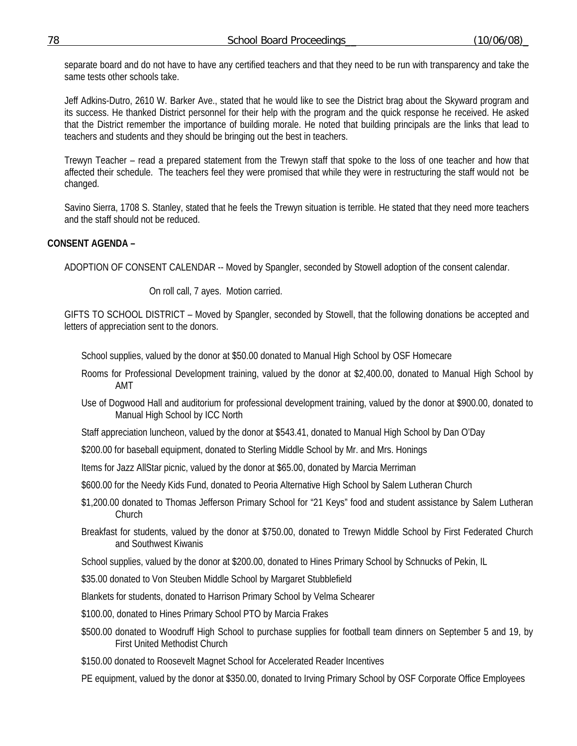separate board and do not have to have any certified teachers and that they need to be run with transparency and take the same tests other schools take.

 Jeff Adkins-Dutro, 2610 W. Barker Ave., stated that he would like to see the District brag about the Skyward program and its success. He thanked District personnel for their help with the program and the quick response he received. He asked that the District remember the importance of building morale. He noted that building principals are the links that lead to teachers and students and they should be bringing out the best in teachers.

 Trewyn Teacher – read a prepared statement from the Trewyn staff that spoke to the loss of one teacher and how that affected their schedule. The teachers feel they were promised that while they were in restructuring the staff would not be changed.

 Savino Sierra, 1708 S. Stanley, stated that he feels the Trewyn situation is terrible. He stated that they need more teachers and the staff should not be reduced.

## **CONSENT AGENDA –**

ADOPTION OF CONSENT CALENDAR -- Moved by Spangler, seconded by Stowell adoption of the consent calendar.

On roll call, 7 ayes. Motion carried.

GIFTS TO SCHOOL DISTRICT – Moved by Spangler, seconded by Stowell, that the following donations be accepted and letters of appreciation sent to the donors.

School supplies, valued by the donor at \$50.00 donated to Manual High School by OSF Homecare

- Rooms for Professional Development training, valued by the donor at \$2,400.00, donated to Manual High School by AMT
- Use of Dogwood Hall and auditorium for professional development training, valued by the donor at \$900.00, donated to Manual High School by ICC North
- Staff appreciation luncheon, valued by the donor at \$543.41, donated to Manual High School by Dan O'Day
- \$200.00 for baseball equipment, donated to Sterling Middle School by Mr. and Mrs. Honings
- Items for Jazz AllStar picnic, valued by the donor at \$65.00, donated by Marcia Merriman

\$600.00 for the Needy Kids Fund, donated to Peoria Alternative High School by Salem Lutheran Church

- \$1,200.00 donated to Thomas Jefferson Primary School for "21 Keys" food and student assistance by Salem Lutheran **Church**
- Breakfast for students, valued by the donor at \$750.00, donated to Trewyn Middle School by First Federated Church and Southwest Kiwanis

School supplies, valued by the donor at \$200.00, donated to Hines Primary School by Schnucks of Pekin, IL

\$35.00 donated to Von Steuben Middle School by Margaret Stubblefield

Blankets for students, donated to Harrison Primary School by Velma Schearer

- \$100.00, donated to Hines Primary School PTO by Marcia Frakes
- \$500.00 donated to Woodruff High School to purchase supplies for football team dinners on September 5 and 19, by First United Methodist Church
- \$150.00 donated to Roosevelt Magnet School for Accelerated Reader Incentives

PE equipment, valued by the donor at \$350.00, donated to Irving Primary School by OSF Corporate Office Employees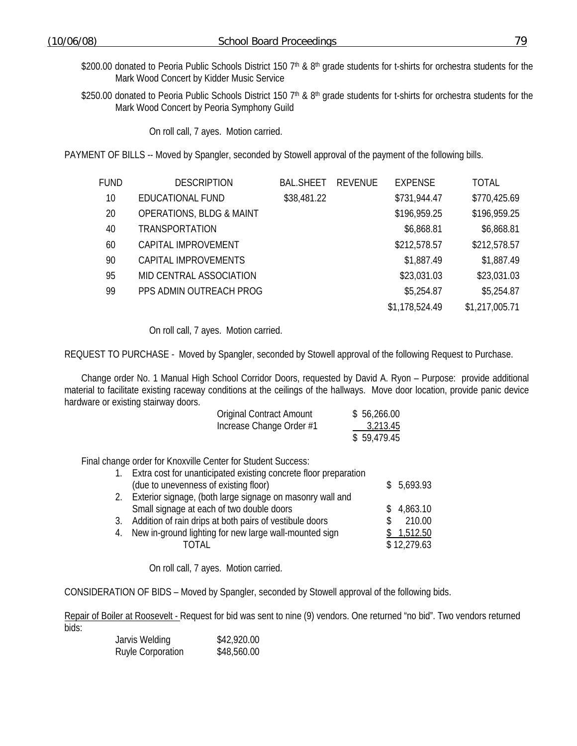- \$200.00 donated to Peoria Public Schools District 150 7<sup>th</sup> & 8<sup>th</sup> grade students for t-shirts for orchestra students for the Mark Wood Concert by Kidder Music Service
- \$250.00 donated to Peoria Public Schools District 150  $7<sup>th</sup>$  & 8<sup>th</sup> grade students for t-shirts for orchestra students for the Mark Wood Concert by Peoria Symphony Guild

On roll call, 7 ayes. Motion carried.

PAYMENT OF BILLS -- Moved by Spangler, seconded by Stowell approval of the payment of the following bills.

| FUND | <b>DESCRIPTION</b>                  | <b>BAL.SHEET</b> | REVENUE | <b>EXPENSE</b> | <b>TOTAL</b>   |
|------|-------------------------------------|------------------|---------|----------------|----------------|
| 10   | EDUCATIONAL FUND                    | \$38,481.22      |         | \$731,944.47   | \$770,425.69   |
| 20   | <b>OPERATIONS, BLDG &amp; MAINT</b> |                  |         | \$196,959.25   | \$196,959.25   |
| 40   | <b>TRANSPORTATION</b>               |                  |         | \$6,868.81     | \$6,868.81     |
| 60   | CAPITAL IMPROVEMENT                 |                  |         | \$212,578.57   | \$212,578.57   |
| 90   | CAPITAL IMPROVEMENTS                |                  |         | \$1,887.49     | \$1,887.49     |
| 95   | MID CENTRAL ASSOCIATION             |                  |         | \$23,031.03    | \$23,031.03    |
| 99   | PPS ADMIN OUTREACH PROG             |                  |         | \$5,254.87     | \$5,254.87     |
|      |                                     |                  |         | \$1,178,524.49 | \$1,217,005.71 |

On roll call, 7 ayes. Motion carried.

REQUEST TO PURCHASE - Moved by Spangler, seconded by Stowell approval of the following Request to Purchase.

 Change order No. 1 Manual High School Corridor Doors, requested by David A. Ryon – Purpose: provide additional material to facilitate existing raceway conditions at the ceilings of the hallways. Move door location, provide panic device hardware or existing stairway doors.

| <b>Original Contract Amount</b> | \$56,266.00 |
|---------------------------------|-------------|
| Increase Change Order #1        | 3,213.45    |
|                                 | \$59,479.45 |

Final change order for Knoxville Center for Student Success:

|    | Extra cost for unanticipated existing concrete floor preparation |             |
|----|------------------------------------------------------------------|-------------|
|    | (due to unevenness of existing floor)                            | \$5,693.93  |
| 2. | Exterior signage, (both large signage on masonry wall and        |             |
|    | Small signage at each of two double doors                        | \$4,863.10  |
| 3. | Addition of rain drips at both pairs of vestibule doors          | 210.00      |
|    | 4. New in-ground lighting for new large wall-mounted sign        | \$1,512.50  |
|    |                                                                  | \$12,279.63 |

On roll call, 7 ayes. Motion carried.

CONSIDERATION OF BIDS – Moved by Spangler, seconded by Stowell approval of the following bids.

Repair of Boiler at Roosevelt - Request for bid was sent to nine (9) vendors. One returned "no bid". Two vendors returned bids:

| Jarvis Welding           | \$42,920.00 |
|--------------------------|-------------|
| <b>Ruyle Corporation</b> | \$48,560.00 |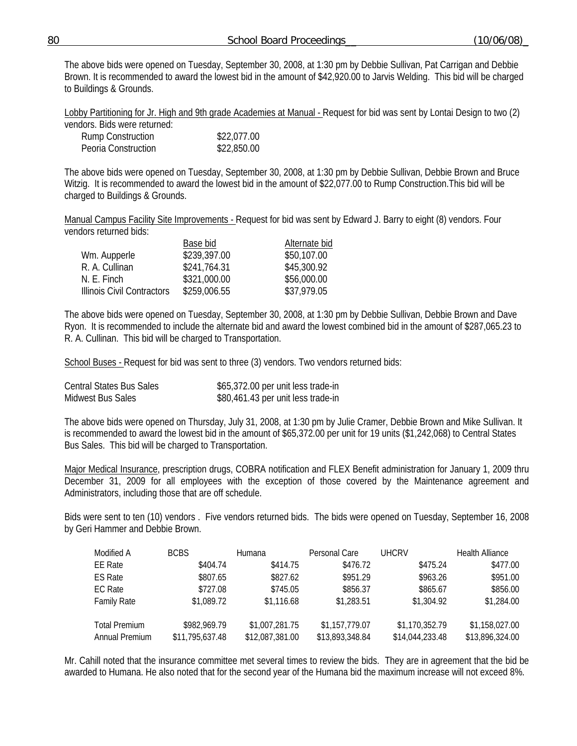|  | 80 | School Board Proceedings | (10/06/08) |
|--|----|--------------------------|------------|
|--|----|--------------------------|------------|

The above bids were opened on Tuesday, September 30, 2008, at 1:30 pm by Debbie Sullivan, Pat Carrigan and Debbie Brown. It is recommended to award the lowest bid in the amount of \$42,920.00 to Jarvis Welding. This bid will be charged to Buildings & Grounds.

Lobby Partitioning for Jr. High and 9th grade Academies at Manual - Request for bid was sent by Lontai Design to two (2) vendors. Bids were returned:

| VEHUULS. DIUS WELE LELUITIEU. |             |
|-------------------------------|-------------|
| <b>Rump Construction</b>      | \$22,077.00 |
| Peoria Construction           | \$22,850.00 |

The above bids were opened on Tuesday, September 30, 2008, at 1:30 pm by Debbie Sullivan, Debbie Brown and Bruce Witzig. It is recommended to award the lowest bid in the amount of \$22,077.00 to Rump Construction.This bid will be charged to Buildings & Grounds.

Manual Campus Facility Site Improvements - Request for bid was sent by Edward J. Barry to eight (8) vendors. Four vendors returned bids:

|                            | Base bid     | Alternate bid |
|----------------------------|--------------|---------------|
| Wm. Aupperle               | \$239,397.00 | \$50,107.00   |
| R. A. Cullinan             | \$241,764.31 | \$45,300.92   |
| N. F. Finch                | \$321,000.00 | \$56,000.00   |
| Illinois Civil Contractors | \$259,006.55 | \$37,979.05   |

The above bids were opened on Tuesday, September 30, 2008, at 1:30 pm by Debbie Sullivan, Debbie Brown and Dave Ryon. It is recommended to include the alternate bid and award the lowest combined bid in the amount of \$287,065.23 to R. A. Cullinan. This bid will be charged to Transportation.

School Buses - Request for bid was sent to three (3) vendors. Two vendors returned bids:

| Central States Bus Sales | \$65,372.00 per unit less trade-in |
|--------------------------|------------------------------------|
| Midwest Bus Sales        | \$80,461.43 per unit less trade-in |

The above bids were opened on Thursday, July 31, 2008, at 1:30 pm by Julie Cramer, Debbie Brown and Mike Sullivan. It is recommended to award the lowest bid in the amount of \$65,372.00 per unit for 19 units (\$1,242,068) to Central States Bus Sales. This bid will be charged to Transportation.

Major Medical Insurance, prescription drugs, COBRA notification and FLEX Benefit administration for January 1, 2009 thru December 31, 2009 for all employees with the exception of those covered by the Maintenance agreement and Administrators, including those that are off schedule.

Bids were sent to ten (10) vendors . Five vendors returned bids. The bids were opened on Tuesday, September 16, 2008 by Geri Hammer and Debbie Brown.

| Modified A           | <b>BCBS</b>     | Humana          | Personal Care   | <b>UHCRV</b>    | <b>Health Alliance</b> |
|----------------------|-----------------|-----------------|-----------------|-----------------|------------------------|
| <b>EE</b> Rate       | \$404.74        | \$414.75        | \$476.72        | \$475.24        | \$477.00               |
| <b>ES Rate</b>       | \$807.65        | \$827.62        | \$951.29        | \$963.26        | \$951.00               |
| EC Rate              | \$727.08        | \$745.05        | \$856.37        | \$865.67        | \$856.00               |
| <b>Family Rate</b>   | \$1,089.72      | \$1,116.68      | \$1,283.51      | \$1,304.92      | \$1,284.00             |
|                      |                 |                 |                 |                 |                        |
| <b>Total Premium</b> | \$982,969.79    | \$1,007,281.75  | \$1,157,779.07  | \$1,170,352.79  | \$1,158,027.00         |
| Annual Premium       | \$11,795,637.48 | \$12,087,381.00 | \$13,893,348.84 | \$14,044,233.48 | \$13,896,324.00        |

Mr. Cahill noted that the insurance committee met several times to review the bids. They are in agreement that the bid be awarded to Humana. He also noted that for the second year of the Humana bid the maximum increase will not exceed 8%.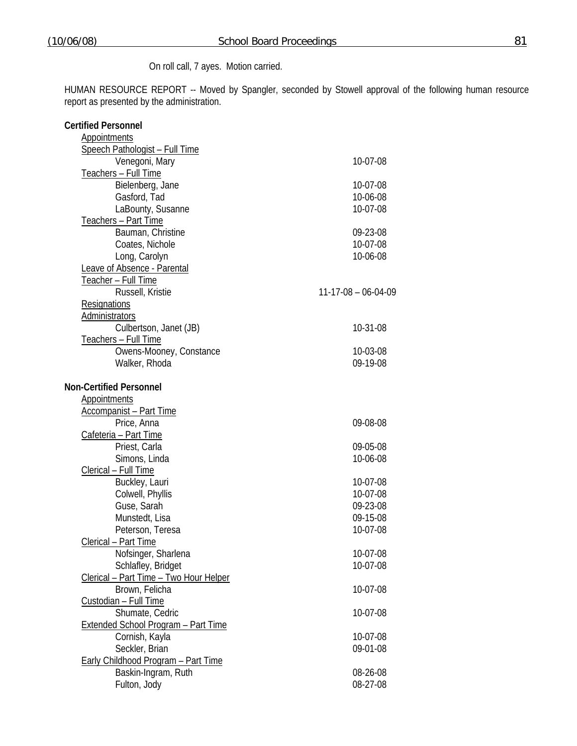HUMAN RESOURCE REPORT -- Moved by Spangler, seconded by Stowell approval of the following human resource report as presented by the administration.

| <b>Certified Personnel</b>                 |                       |
|--------------------------------------------|-----------------------|
| <b>Appointments</b>                        |                       |
| Speech Pathologist - Full Time             |                       |
| Venegoni, Mary                             | 10-07-08              |
| Teachers - Full Time                       |                       |
| Bielenberg, Jane                           | 10-07-08              |
| Gasford, Tad                               | 10-06-08              |
| LaBounty, Susanne                          | 10-07-08              |
| Teachers - Part Time                       |                       |
| Bauman, Christine                          | 09-23-08              |
| Coates, Nichole                            | 10-07-08              |
| Long, Carolyn                              | 10-06-08              |
| Leave of Absence - Parental                |                       |
| Teacher - Full Time                        |                       |
| Russell, Kristie                           | $11-17-08 - 06-04-09$ |
| Resignations                               |                       |
| Administrators                             |                       |
| Culbertson, Janet (JB)                     | 10-31-08              |
| Teachers - Full Time                       |                       |
| Owens-Mooney, Constance                    | 10-03-08              |
| Walker, Rhoda                              | 09-19-08              |
|                                            |                       |
| <b>Non-Certified Personnel</b>             |                       |
| <b>Appointments</b>                        |                       |
| <b>Accompanist - Part Time</b>             |                       |
| Price, Anna                                | 09-08-08              |
| Cafeteria - Part Time                      |                       |
| Priest, Carla                              | 09-05-08              |
| Simons, Linda                              | 10-06-08              |
| Clerical - Full Time                       |                       |
| Buckley, Lauri                             | 10-07-08              |
| Colwell, Phyllis                           | 10-07-08              |
| Guse, Sarah                                | 09-23-08              |
| Munstedt, Lisa                             | 09-15-08              |
| Peterson, Teresa                           | 10-07-08              |
| Clerical - Part Time                       |                       |
| Nofsinger, Sharlena                        | 10-07-08              |
| Schlafley, Bridget                         | 10-07-08              |
| Clerical - Part Time - Two Hour Helper     |                       |
| Brown, Felicha                             | 10-07-08              |
| Custodian - Full Time                      |                       |
| Shumate, Cedric                            | 10-07-08              |
| <b>Extended School Program - Part Time</b> |                       |
| Cornish, Kayla                             | 10-07-08              |
| Seckler, Brian                             | 09-01-08              |
| Early Childhood Program - Part Time        |                       |
| Baskin-Ingram, Ruth                        | 08-26-08              |
| Fulton, Jody                               | 08-27-08              |
|                                            |                       |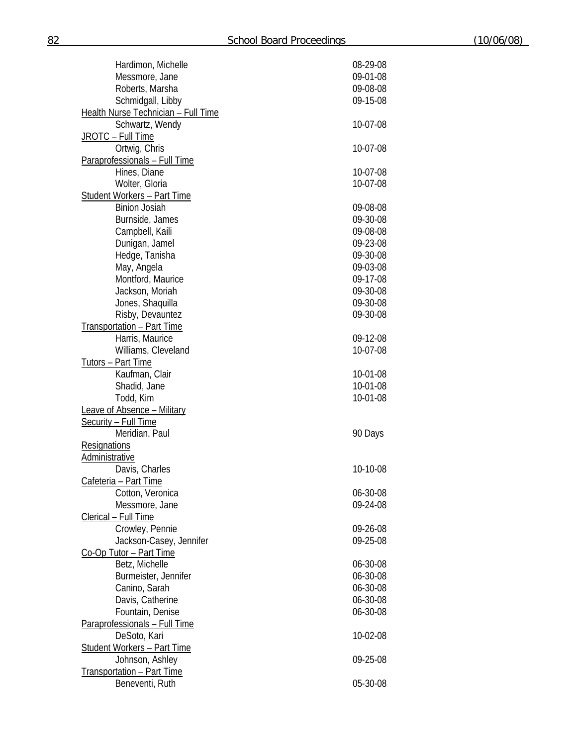| Hardimon, Michelle                  | 08-29-08 |
|-------------------------------------|----------|
| Messmore, Jane                      | 09-01-08 |
| Roberts, Marsha                     | 09-08-08 |
| Schmidgall, Libby                   | 09-15-08 |
| Health Nurse Technician - Full Time |          |
| Schwartz, Wendy                     | 10-07-08 |
| JROTC - Full Time                   |          |
| Ortwig, Chris                       | 10-07-08 |
| Paraprofessionals - Full Time       |          |
| Hines, Diane                        | 10-07-08 |
| Wolter, Gloria                      | 10-07-08 |
| <b>Student Workers - Part Time</b>  |          |
| <b>Binion Josiah</b>                | 09-08-08 |
| Burnside, James                     | 09-30-08 |
| Campbell, Kaili                     | 09-08-08 |
| Dunigan, Jamel                      | 09-23-08 |
| Hedge, Tanisha                      | 09-30-08 |
| May, Angela                         | 09-03-08 |
| Montford, Maurice                   | 09-17-08 |
|                                     |          |
| Jackson, Moriah                     | 09-30-08 |
| Jones, Shaquilla                    | 09-30-08 |
| Risby, Devauntez                    | 09-30-08 |
| Transportation - Part Time          |          |
| Harris, Maurice                     | 09-12-08 |
| Williams, Cleveland                 | 10-07-08 |
| Tutors - Part Time                  |          |
| Kaufman, Clair                      | 10-01-08 |
| Shadid, Jane                        | 10-01-08 |
| Todd, Kim                           | 10-01-08 |
| <b>Leave of Absence - Military</b>  |          |
| Security - Full Time                |          |
| Meridian, Paul                      | 90 Days  |
| Resignations                        |          |
| Administrative                      |          |
| Davis, Charles                      | 10-10-08 |
| Cafeteria - Part Time               |          |
| Cotton, Veronica                    | 06-30-08 |
| Messmore, Jane                      | 09-24-08 |
| Clerical - Full Time                |          |
| Crowley, Pennie                     | 09-26-08 |
| Jackson-Casey, Jennifer             | 09-25-08 |
| Co-Op Tutor - Part Time             |          |
| Betz, Michelle                      | 06-30-08 |
| Burmeister, Jennifer                | 06-30-08 |
| Canino, Sarah                       | 06-30-08 |
| Davis, Catherine                    | 06-30-08 |
| Fountain, Denise                    | 06-30-08 |
| Paraprofessionals - Full Time       |          |
| DeSoto, Kari                        | 10-02-08 |
| <b>Student Workers - Part Time</b>  |          |
| Johnson, Ashley                     | 09-25-08 |
| Transportation - Part Time          |          |
| Beneventi, Ruth                     | 05-30-08 |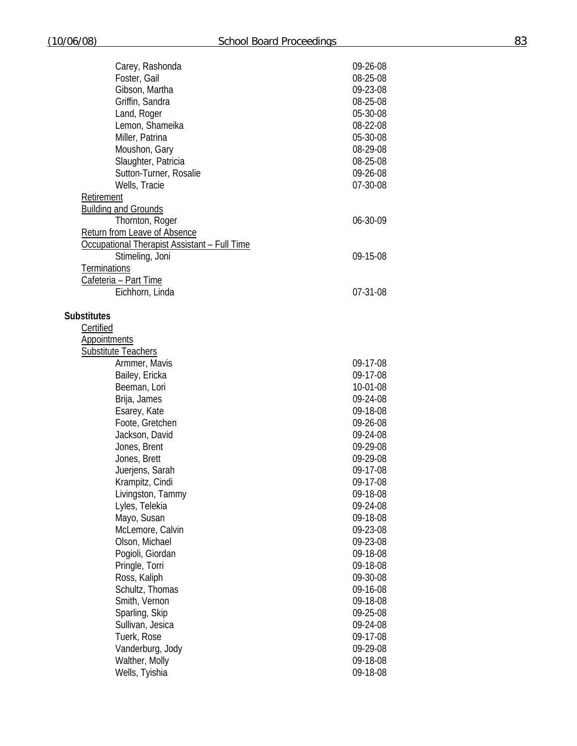| Carey, Rashonda                                     | 09-26-08 |
|-----------------------------------------------------|----------|
| Foster, Gail                                        | 08-25-08 |
| Gibson, Martha                                      | 09-23-08 |
| Griffin, Sandra                                     | 08-25-08 |
| Land, Roger                                         | 05-30-08 |
| Lemon, Shameika                                     | 08-22-08 |
| Miller, Patrina                                     | 05-30-08 |
| Moushon, Gary                                       | 08-29-08 |
|                                                     |          |
| Slaughter, Patricia                                 | 08-25-08 |
| Sutton-Turner, Rosalie                              | 09-26-08 |
| Wells, Tracie                                       | 07-30-08 |
| Retirement                                          |          |
| <b>Building and Grounds</b>                         |          |
| Thornton, Roger                                     | 06-30-09 |
| Return from Leave of Absence                        |          |
| <b>Occupational Therapist Assistant - Full Time</b> |          |
| Stimeling, Joni                                     | 09-15-08 |
| <b>Terminations</b>                                 |          |
| Cafeteria - Part Time                               |          |
| Eichhorn, Linda                                     | 07-31-08 |
|                                                     |          |
| <b>Substitutes</b>                                  |          |
| Certified                                           |          |
| <b>Appointments</b>                                 |          |
| <b>Substitute Teachers</b>                          |          |
| Armmer, Mavis                                       | 09-17-08 |
| Bailey, Ericka                                      | 09-17-08 |
| Beeman, Lori                                        | 10-01-08 |
|                                                     | 09-24-08 |
| Brija, James                                        |          |
| Esarey, Kate                                        | 09-18-08 |
| Foote, Gretchen                                     | 09-26-08 |
| Jackson, David                                      | 09-24-08 |
| Jones, Brent                                        | 09-29-08 |
| Jones, Brett                                        | 09-29-08 |
| Juerjens, Sarah                                     | 09-17-08 |
| Krampitz, Cindi                                     | 09-17-08 |
| Livingston, Tammy                                   | 09-18-08 |
| Lyles, Telekia                                      | 09-24-08 |
| Mayo, Susan                                         | 09-18-08 |
| McLemore, Calvin                                    | 09-23-08 |
| Olson, Michael                                      | 09-23-08 |
| Pogioli, Giordan                                    | 09-18-08 |
| Pringle, Torri                                      | 09-18-08 |
| Ross, Kaliph                                        | 09-30-08 |
| Schultz, Thomas                                     | 09-16-08 |
| Smith, Vernon                                       | 09-18-08 |
| Sparling, Skip                                      | 09-25-08 |
| Sullivan, Jesica                                    |          |
|                                                     | 09-24-08 |
| Tuerk, Rose                                         | 09-17-08 |
| Vanderburg, Jody                                    | 09-29-08 |
| Walther, Molly                                      | 09-18-08 |
| Wells, Tyishia                                      | 09-18-08 |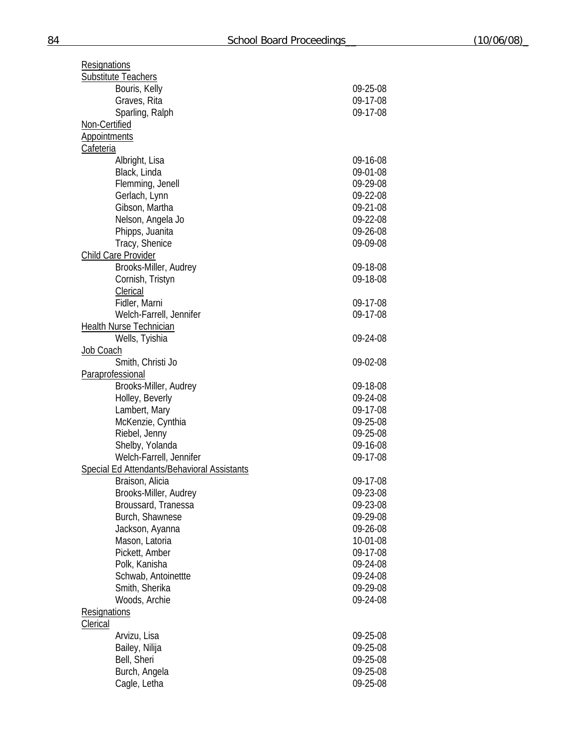| <b>Resignations</b>                         |          |
|---------------------------------------------|----------|
| <b>Substitute Teachers</b>                  |          |
| Bouris, Kelly                               | 09-25-08 |
| Graves, Rita                                | 09-17-08 |
| Sparling, Ralph                             | 09-17-08 |
| Non-Certified                               |          |
| Appointments                                |          |
| Cafeteria                                   |          |
|                                             |          |
| Albright, Lisa                              | 09-16-08 |
| Black, Linda                                | 09-01-08 |
| Flemming, Jenell                            | 09-29-08 |
| Gerlach, Lynn                               | 09-22-08 |
| Gibson, Martha                              | 09-21-08 |
| Nelson, Angela Jo                           | 09-22-08 |
| Phipps, Juanita                             | 09-26-08 |
| Tracy, Shenice                              | 09-09-08 |
| Child Care Provider                         |          |
| Brooks-Miller, Audrey                       | 09-18-08 |
| Cornish, Tristyn                            | 09-18-08 |
| Clerical                                    |          |
| Fidler, Marni                               | 09-17-08 |
| Welch-Farrell, Jennifer                     | 09-17-08 |
| <b>Health Nurse Technician</b>              |          |
| Wells, Tyishia                              | 09-24-08 |
|                                             |          |
| Job Coach                                   |          |
| Smith, Christi Jo                           | 09-02-08 |
| Paraprofessional                            |          |
| Brooks-Miller, Audrey                       | 09-18-08 |
| Holley, Beverly                             | 09-24-08 |
| Lambert, Mary                               | 09-17-08 |
| McKenzie, Cynthia                           | 09-25-08 |
| Riebel, Jenny                               | 09-25-08 |
| Shelby, Yolanda                             | 09-16-08 |
| Welch-Farrell, Jennifer                     | 09-17-08 |
| Special Ed Attendants/Behavioral Assistants |          |
| Braison, Alicia                             | 09-17-08 |
| Brooks-Miller, Audrey                       | 09-23-08 |
| Broussard, Tranessa                         | 09-23-08 |
| Burch, Shawnese                             | 09-29-08 |
| Jackson, Ayanna                             | 09-26-08 |
| Mason, Latoria                              | 10-01-08 |
| Pickett, Amber                              | 09-17-08 |
| Polk, Kanisha                               | 09-24-08 |
|                                             |          |
| Schwab, Antoinettte                         | 09-24-08 |
| Smith, Sherika                              | 09-29-08 |
| Woods, Archie                               | 09-24-08 |
| <b>Resignations</b>                         |          |
| Clerical                                    |          |
| Arvizu, Lisa                                | 09-25-08 |
| Bailey, Nilija                              | 09-25-08 |
| Bell, Sheri                                 | 09-25-08 |
| Burch, Angela                               | 09-25-08 |
| Cagle, Letha                                | 09-25-08 |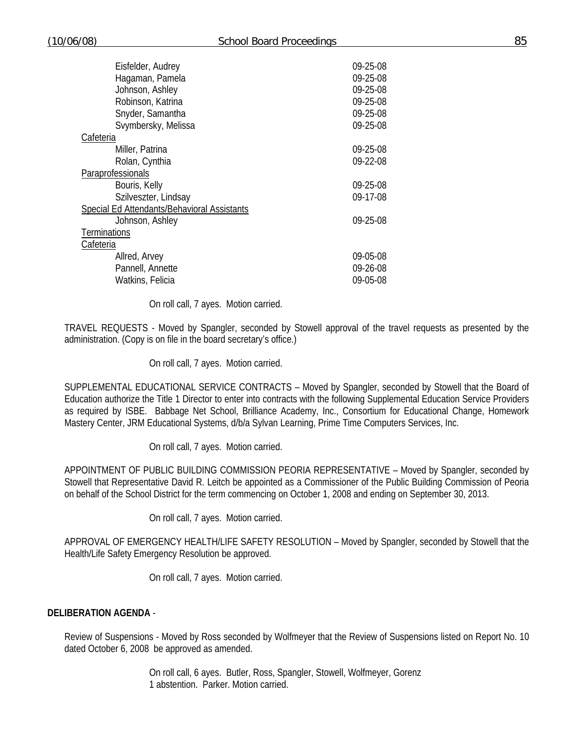| Eisfelder, Audrey                           | 09-25-08 |
|---------------------------------------------|----------|
| Hagaman, Pamela                             | 09-25-08 |
| Johnson, Ashley                             | 09-25-08 |
| Robinson, Katrina                           | 09-25-08 |
| Snyder, Samantha                            | 09-25-08 |
| Svymbersky, Melissa                         | 09-25-08 |
| Cafeteria                                   |          |
| Miller, Patrina                             | 09-25-08 |
| Rolan, Cynthia                              | 09-22-08 |
| Paraprofessionals                           |          |
| Bouris, Kelly                               | 09-25-08 |
| Szilveszter, Lindsay                        | 09-17-08 |
| Special Ed Attendants/Behavioral Assistants |          |
| Johnson, Ashley                             | 09-25-08 |
| <b>Terminations</b>                         |          |
| Cafeteria                                   |          |
| Allred, Arvey                               | 09-05-08 |
| Pannell, Annette                            | 09-26-08 |
| Watkins, Felicia                            | 09-05-08 |
|                                             |          |

On roll call, 7 ayes. Motion carried.

TRAVEL REQUESTS - Moved by Spangler, seconded by Stowell approval of the travel requests as presented by the administration. (Copy is on file in the board secretary's office.)

On roll call, 7 ayes. Motion carried.

SUPPLEMENTAL EDUCATIONAL SERVICE CONTRACTS – Moved by Spangler, seconded by Stowell that the Board of Education authorize the Title 1 Director to enter into contracts with the following Supplemental Education Service Providers as required by ISBE. Babbage Net School, Brilliance Academy, Inc., Consortium for Educational Change, Homework Mastery Center, JRM Educational Systems, d/b/a Sylvan Learning, Prime Time Computers Services, Inc.

On roll call, 7 ayes. Motion carried.

APPOINTMENT OF PUBLIC BUILDING COMMISSION PEORIA REPRESENTATIVE – Moved by Spangler, seconded by Stowell that Representative David R. Leitch be appointed as a Commissioner of the Public Building Commission of Peoria on behalf of the School District for the term commencing on October 1, 2008 and ending on September 30, 2013.

On roll call, 7 ayes. Motion carried.

APPROVAL OF EMERGENCY HEALTH/LIFE SAFETY RESOLUTION – Moved by Spangler, seconded by Stowell that the Health/Life Safety Emergency Resolution be approved.

On roll call, 7 ayes. Motion carried.

## **DELIBERATION AGENDA** -

Review of Suspensions - Moved by Ross seconded by Wolfmeyer that the Review of Suspensions listed on Report No. 10 dated October 6, 2008 be approved as amended.

> On roll call, 6 ayes. Butler, Ross, Spangler, Stowell, Wolfmeyer, Gorenz 1 abstention. Parker. Motion carried.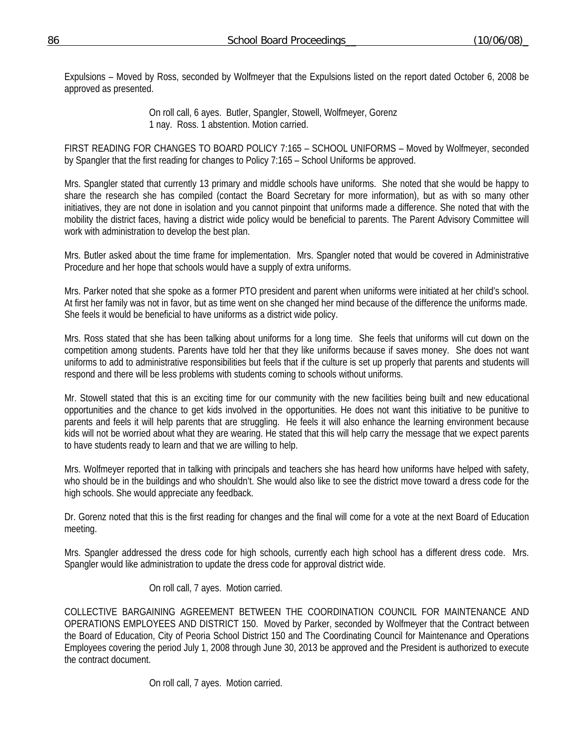Expulsions – Moved by Ross, seconded by Wolfmeyer that the Expulsions listed on the report dated October 6, 2008 be approved as presented.

> On roll call, 6 ayes. Butler, Spangler, Stowell, Wolfmeyer, Gorenz 1 nay. Ross. 1 abstention. Motion carried.

FIRST READING FOR CHANGES TO BOARD POLICY 7:165 – SCHOOL UNIFORMS – Moved by Wolfmeyer, seconded by Spangler that the first reading for changes to Policy 7:165 – School Uniforms be approved.

Mrs. Spangler stated that currently 13 primary and middle schools have uniforms. She noted that she would be happy to share the research she has compiled (contact the Board Secretary for more information), but as with so many other initiatives, they are not done in isolation and you cannot pinpoint that uniforms made a difference. She noted that with the mobility the district faces, having a district wide policy would be beneficial to parents. The Parent Advisory Committee will work with administration to develop the best plan.

Mrs. Butler asked about the time frame for implementation. Mrs. Spangler noted that would be covered in Administrative Procedure and her hope that schools would have a supply of extra uniforms.

Mrs. Parker noted that she spoke as a former PTO president and parent when uniforms were initiated at her child's school. At first her family was not in favor, but as time went on she changed her mind because of the difference the uniforms made. She feels it would be beneficial to have uniforms as a district wide policy.

Mrs. Ross stated that she has been talking about uniforms for a long time. She feels that uniforms will cut down on the competition among students. Parents have told her that they like uniforms because if saves money. She does not want uniforms to add to administrative responsibilities but feels that if the culture is set up properly that parents and students will respond and there will be less problems with students coming to schools without uniforms.

Mr. Stowell stated that this is an exciting time for our community with the new facilities being built and new educational opportunities and the chance to get kids involved in the opportunities. He does not want this initiative to be punitive to parents and feels it will help parents that are struggling. He feels it will also enhance the learning environment because kids will not be worried about what they are wearing. He stated that this will help carry the message that we expect parents to have students ready to learn and that we are willing to help.

Mrs. Wolfmeyer reported that in talking with principals and teachers she has heard how uniforms have helped with safety, who should be in the buildings and who shouldn't. She would also like to see the district move toward a dress code for the high schools. She would appreciate any feedback.

Dr. Gorenz noted that this is the first reading for changes and the final will come for a vote at the next Board of Education meeting.

Mrs. Spangler addressed the dress code for high schools, currently each high school has a different dress code. Mrs. Spangler would like administration to update the dress code for approval district wide.

On roll call, 7 ayes. Motion carried.

COLLECTIVE BARGAINING AGREEMENT BETWEEN THE COORDINATION COUNCIL FOR MAINTENANCE AND OPERATIONS EMPLOYEES AND DISTRICT 150. Moved by Parker, seconded by Wolfmeyer that the Contract between the Board of Education, City of Peoria School District 150 and The Coordinating Council for Maintenance and Operations Employees covering the period July 1, 2008 through June 30, 2013 be approved and the President is authorized to execute the contract document.

On roll call, 7 ayes. Motion carried.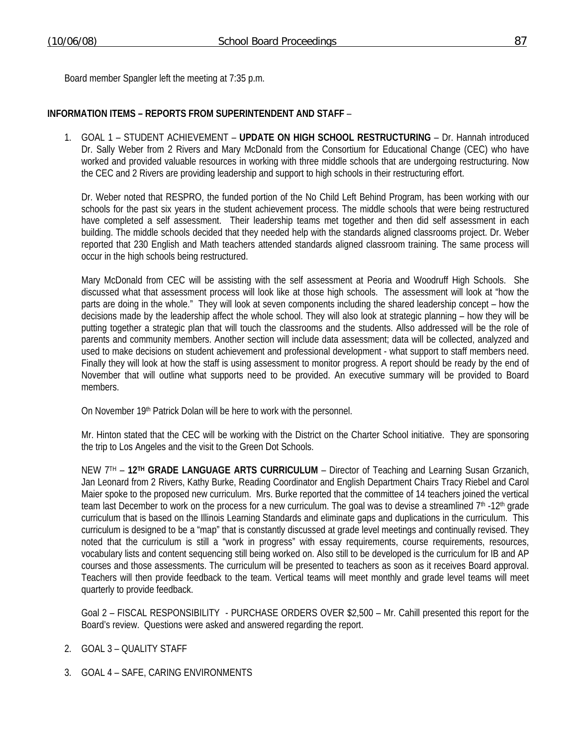Board member Spangler left the meeting at 7:35 p.m.

## **INFORMATION ITEMS – REPORTS FROM SUPERINTENDENT AND STAFF** –

1. GOAL 1 – STUDENT ACHIEVEMENT – **UPDATE ON HIGH SCHOOL RESTRUCTURING** – Dr. Hannah introduced Dr. Sally Weber from 2 Rivers and Mary McDonald from the Consortium for Educational Change (CEC) who have worked and provided valuable resources in working with three middle schools that are undergoing restructuring. Now the CEC and 2 Rivers are providing leadership and support to high schools in their restructuring effort.

Dr. Weber noted that RESPRO, the funded portion of the No Child Left Behind Program, has been working with our schools for the past six years in the student achievement process. The middle schools that were being restructured have completed a self assessment. Their leadership teams met together and then did self assessment in each building. The middle schools decided that they needed help with the standards aligned classrooms project. Dr. Weber reported that 230 English and Math teachers attended standards aligned classroom training. The same process will occur in the high schools being restructured.

Mary McDonald from CEC will be assisting with the self assessment at Peoria and Woodruff High Schools. She discussed what that assessment process will look like at those high schools. The assessment will look at "how the parts are doing in the whole." They will look at seven components including the shared leadership concept – how the decisions made by the leadership affect the whole school. They will also look at strategic planning – how they will be putting together a strategic plan that will touch the classrooms and the students. Allso addressed will be the role of parents and community members. Another section will include data assessment; data will be collected, analyzed and used to make decisions on student achievement and professional development - what support to staff members need. Finally they will look at how the staff is using assessment to monitor progress. A report should be ready by the end of November that will outline what supports need to be provided. An executive summary will be provided to Board members.

On November 19th Patrick Dolan will be here to work with the personnel.

Mr. Hinton stated that the CEC will be working with the District on the Charter School initiative. They are sponsoring the trip to Los Angeles and the visit to the Green Dot Schools.

NEW 7TH – **12TH GRADE LANGUAGE ARTS CURRICULUM** – Director of Teaching and Learning Susan Grzanich, Jan Leonard from 2 Rivers, Kathy Burke, Reading Coordinator and English Department Chairs Tracy Riebel and Carol Maier spoke to the proposed new curriculum. Mrs. Burke reported that the committee of 14 teachers joined the vertical team last December to work on the process for a new curriculum. The goal was to devise a streamlined  $7<sup>th</sup>$  -12<sup>th</sup> grade curriculum that is based on the Illinois Learning Standards and eliminate gaps and duplications in the curriculum. This curriculum is designed to be a "map" that is constantly discussed at grade level meetings and continually revised. They noted that the curriculum is still a "work in progress" with essay requirements, course requirements, resources, vocabulary lists and content sequencing still being worked on. Also still to be developed is the curriculum for IB and AP courses and those assessments. The curriculum will be presented to teachers as soon as it receives Board approval. Teachers will then provide feedback to the team. Vertical teams will meet monthly and grade level teams will meet quarterly to provide feedback.

Goal 2 – FISCAL RESPONSIBILITY - PURCHASE ORDERS OVER \$2,500 – Mr. Cahill presented this report for the Board's review. Questions were asked and answered regarding the report.

- 2. GOAL 3 QUALITY STAFF
- 3. GOAL 4 SAFE, CARING ENVIRONMENTS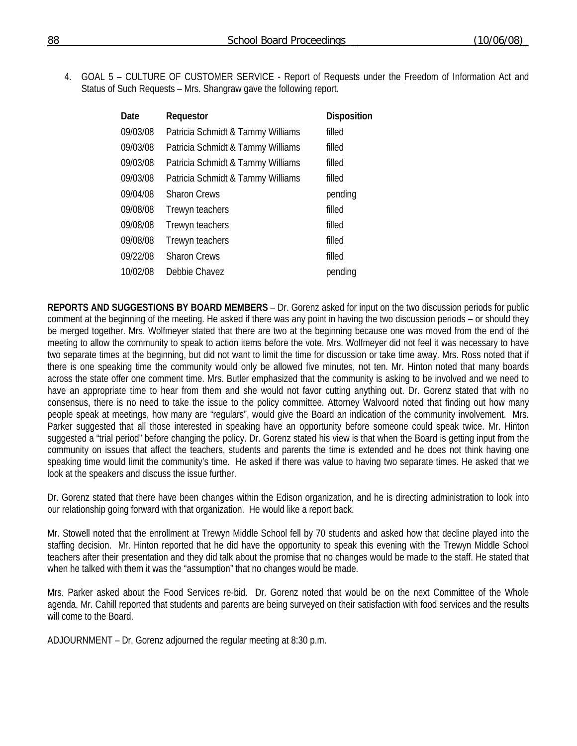4. GOAL 5 – CULTURE OF CUSTOMER SERVICE - Report of Requests under the Freedom of Information Act and Status of Such Requests – Mrs. Shangraw gave the following report.

| Requestor                         | <b>Disposition</b> |
|-----------------------------------|--------------------|
| Patricia Schmidt & Tammy Williams | filled             |
| Patricia Schmidt & Tammy Williams | filled             |
| Patricia Schmidt & Tammy Williams | filled             |
| Patricia Schmidt & Tammy Williams | filled             |
| <b>Sharon Crews</b>               | pending            |
| Trewyn teachers                   | filled             |
| Trewyn teachers                   | filled             |
| Trewyn teachers                   | filled             |
| <b>Sharon Crews</b>               | filled             |
| Debbie Chavez                     | pending            |
|                                   |                    |

**REPORTS AND SUGGESTIONS BY BOARD MEMBERS** – Dr. Gorenz asked for input on the two discussion periods for public comment at the beginning of the meeting. He asked if there was any point in having the two discussion periods – or should they be merged together. Mrs. Wolfmeyer stated that there are two at the beginning because one was moved from the end of the meeting to allow the community to speak to action items before the vote. Mrs. Wolfmeyer did not feel it was necessary to have two separate times at the beginning, but did not want to limit the time for discussion or take time away. Mrs. Ross noted that if there is one speaking time the community would only be allowed five minutes, not ten. Mr. Hinton noted that many boards across the state offer one comment time. Mrs. Butler emphasized that the community is asking to be involved and we need to have an appropriate time to hear from them and she would not favor cutting anything out. Dr. Gorenz stated that with no consensus, there is no need to take the issue to the policy committee. Attorney Walvoord noted that finding out how many people speak at meetings, how many are "regulars", would give the Board an indication of the community involvement. Mrs. Parker suggested that all those interested in speaking have an opportunity before someone could speak twice. Mr. Hinton suggested a "trial period" before changing the policy. Dr. Gorenz stated his view is that when the Board is getting input from the community on issues that affect the teachers, students and parents the time is extended and he does not think having one speaking time would limit the community's time. He asked if there was value to having two separate times. He asked that we look at the speakers and discuss the issue further.

Dr. Gorenz stated that there have been changes within the Edison organization, and he is directing administration to look into our relationship going forward with that organization. He would like a report back.

Mr. Stowell noted that the enrollment at Trewyn Middle School fell by 70 students and asked how that decline played into the staffing decision. Mr. Hinton reported that he did have the opportunity to speak this evening with the Trewyn Middle School teachers after their presentation and they did talk about the promise that no changes would be made to the staff. He stated that when he talked with them it was the "assumption" that no changes would be made.

Mrs. Parker asked about the Food Services re-bid. Dr. Gorenz noted that would be on the next Committee of the Whole agenda. Mr. Cahill reported that students and parents are being surveyed on their satisfaction with food services and the results will come to the Board.

ADJOURNMENT – Dr. Gorenz adjourned the regular meeting at 8:30 p.m.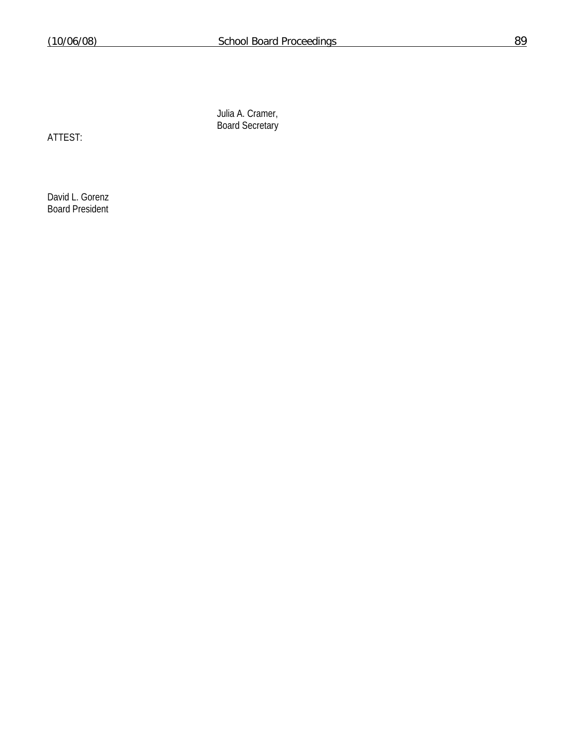Julia A. Cramer, Board Secretary

ATTEST:

David L. Gorenz Board President